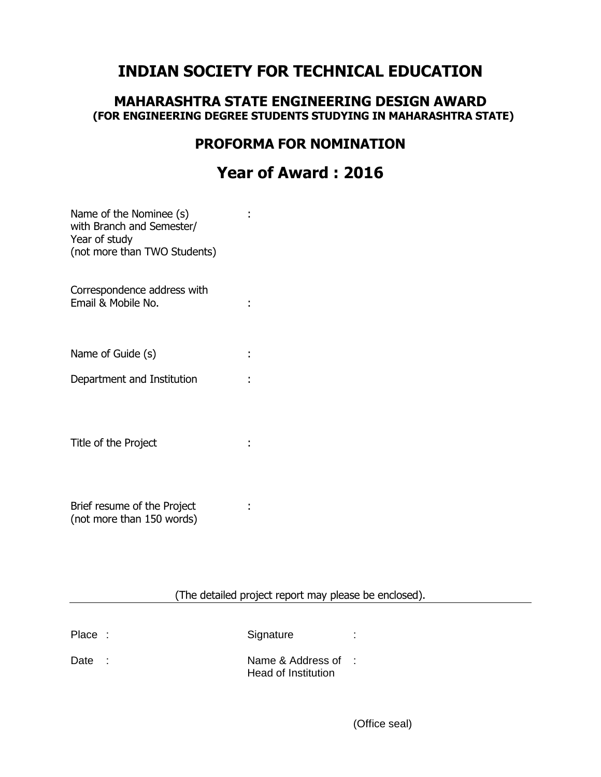# **INDIAN SOCIETY FOR TECHNICAL EDUCATION**

### **MAHARASHTRA STATE ENGINEERING DESIGN AWARD (FOR ENGINEERING DEGREE STUDENTS STUDYING IN MAHARASHTRA STATE)**

### **PROFORMA FOR NOMINATION**

# **Year of Award : 2016**

| Name of the Nominee (s)<br>with Branch and Semester/<br>Year of study<br>(not more than TWO Students) |  |
|-------------------------------------------------------------------------------------------------------|--|
| Correspondence address with<br>Email & Mobile No.                                                     |  |
| Name of Guide (s)                                                                                     |  |
| Department and Institution                                                                            |  |
| Title of the Project                                                                                  |  |
| Brief resume of the Project                                                                           |  |

(not more than 150 words)

(The detailed project report may please be enclosed).

| Place: |            | Signature                                  |  |
|--------|------------|--------------------------------------------|--|
| Date   | $\sim 100$ | Name & Address of :<br>Head of Institution |  |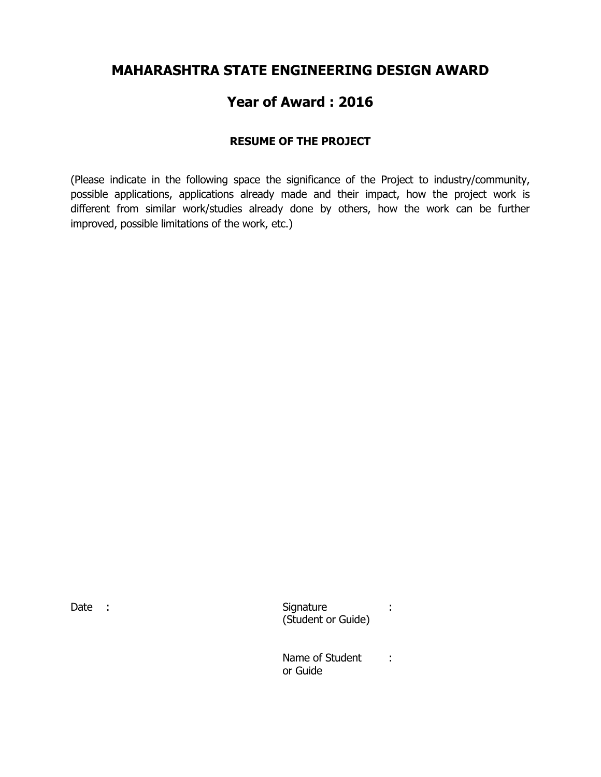## **MAHARASHTRA STATE ENGINEERING DESIGN AWARD**

# **Year of Award : 2016**

### **RESUME OF THE PROJECT**

(Please indicate in the following space the significance of the Project to industry/community, possible applications, applications already made and their impact, how the project work is different from similar work/studies already done by others, how the work can be further improved, possible limitations of the work, etc.)

Date : Signature : Signature : Signature : Signature : Signature : Signature : Signature : Signature : Signature : Signature : Signature : Signature : Signature : Signature : Signature : Signature : Signature : Signature : (Student or Guide)

> Name of Student : or Guide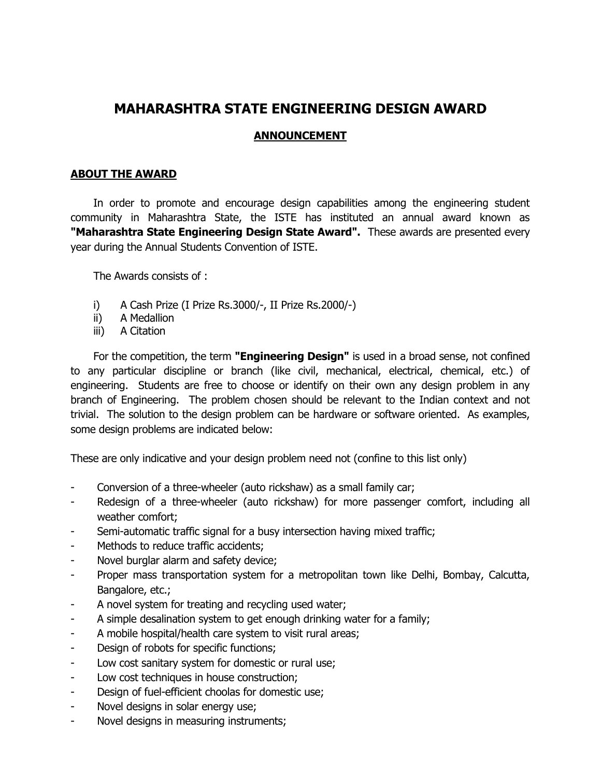## **MAHARASHTRA STATE ENGINEERING DESIGN AWARD**

#### **ANNOUNCEMENT**

#### **ABOUT THE AWARD**

In order to promote and encourage design capabilities among the engineering student community in Maharashtra State, the ISTE has instituted an annual award known as **"Maharashtra State Engineering Design State Award".** These awards are presented every year during the Annual Students Convention of ISTE.

The Awards consists of :

- i) A Cash Prize (I Prize Rs.3000/-, II Prize Rs.2000/-)
- ii) A Medallion
- iii) A Citation

For the competition, the term **"Engineering Design"** is used in a broad sense, not confined to any particular discipline or branch (like civil, mechanical, electrical, chemical, etc.) of engineering. Students are free to choose or identify on their own any design problem in any branch of Engineering. The problem chosen should be relevant to the Indian context and not trivial. The solution to the design problem can be hardware or software oriented. As examples, some design problems are indicated below:

These are only indicative and your design problem need not (confine to this list only)

- Conversion of a three-wheeler (auto rickshaw) as a small family car;
- Redesign of a three-wheeler (auto rickshaw) for more passenger comfort, including all weather comfort;
- Semi-automatic traffic signal for a busy intersection having mixed traffic;
- Methods to reduce traffic accidents;
- Novel burglar alarm and safety device;
- Proper mass transportation system for a metropolitan town like Delhi, Bombay, Calcutta, Bangalore, etc.;
- A novel system for treating and recycling used water;
- A simple desalination system to get enough drinking water for a family;
- A mobile hospital/health care system to visit rural areas;
- Design of robots for specific functions;
- Low cost sanitary system for domestic or rural use;
- Low cost techniques in house construction;
- Design of fuel-efficient choolas for domestic use;
- Novel designs in solar energy use;
- Novel designs in measuring instruments;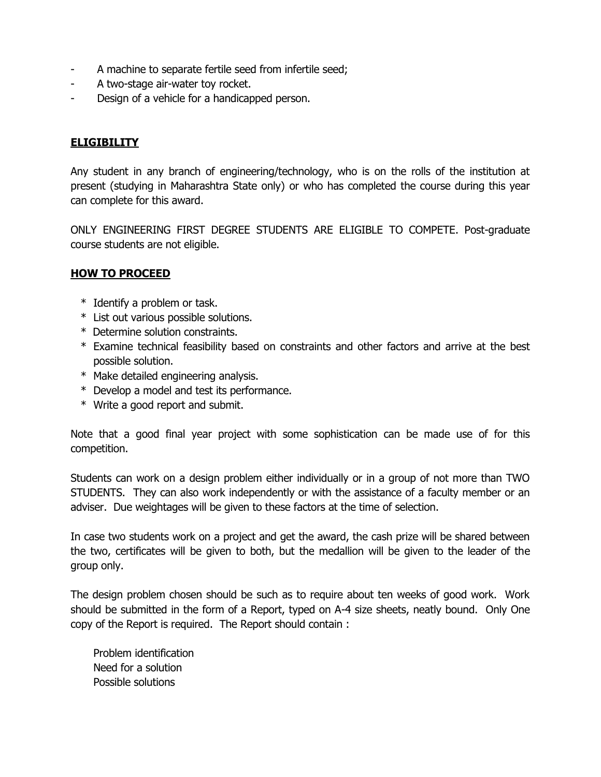- A machine to separate fertile seed from infertile seed;
- A two-stage air-water toy rocket.
- Design of a vehicle for a handicapped person.

#### **ELIGIBILITY**

Any student in any branch of engineering/technology, who is on the rolls of the institution at present (studying in Maharashtra State only) or who has completed the course during this year can complete for this award.

ONLY ENGINEERING FIRST DEGREE STUDENTS ARE ELIGIBLE TO COMPETE. Post-graduate course students are not eligible.

#### **HOW TO PROCEED**

- \* Identify a problem or task.
- \* List out various possible solutions.
- \* Determine solution constraints.
- \* Examine technical feasibility based on constraints and other factors and arrive at the best possible solution.
- \* Make detailed engineering analysis.
- \* Develop a model and test its performance.
- \* Write a good report and submit.

Note that a good final year project with some sophistication can be made use of for this competition.

Students can work on a design problem either individually or in a group of not more than TWO STUDENTS. They can also work independently or with the assistance of a faculty member or an adviser. Due weightages will be given to these factors at the time of selection.

In case two students work on a project and get the award, the cash prize will be shared between the two, certificates will be given to both, but the medallion will be given to the leader of the group only.

The design problem chosen should be such as to require about ten weeks of good work. Work should be submitted in the form of a Report, typed on A-4 size sheets, neatly bound. Only One copy of the Report is required. The Report should contain :

 Problem identification Need for a solution Possible solutions